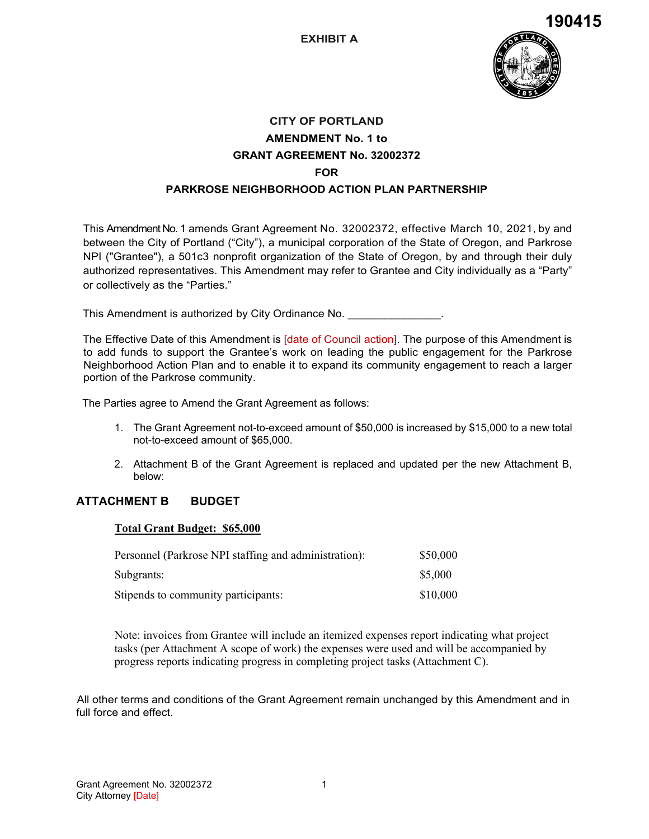

# **CITY OF PORTLAND AMENDMENT No. 1 to GRANT AGREEMENT No. 32002372 FOR PARKROSE NEIGHBORHOOD ACTION PLAN PARTNERSHIP**

This Amendment No. 1 amends Grant Agreement No. 32002372, effective March 10, 2021, by and between the City of Portland ("City"), a municipal corporation of the State of Oregon, and Parkrose NPI ("Grantee"), a 501c3 nonprofit organization of the State of Oregon, by and through their duly authorized representatives. This Amendment may refer to Grantee and City individually as a "Party" or collectively as the "Parties."

This Amendment is authorized by City Ordinance No. \_\_\_\_\_\_\_\_\_\_\_\_\_\_\_\_\_\_\_\_\_\_\_\_\_\_\_\_\_

The Effective Date of this Amendment is *[date of Council action]*. The purpose of this Amendment is to add funds to support the Grantee's work on leading the public engagement for the Parkrose Neighborhood Action Plan and to enable it to expand its community engagement to reach a larger portion of the Parkrose community.

The Parties agree to Amend the Grant Agreement as follows:

- 1. The Grant Agreement not-to-exceed amount of \$50,000 is increased by \$15,000 to a new total not-to-exceed amount of \$65,000.
- 2. Attachment B of the Grant Agreement is replaced and updated per the new Attachment B, below:

## **ATTACHMENT B BUDGET**

#### **Total Grant Budget: \$65,000**

| Personnel (Parkrose NPI staffing and administration): | \$50,000 |
|-------------------------------------------------------|----------|
| Subgrants:                                            | \$5,000  |
| Stipends to community participants:                   | \$10,000 |

Note: invoices from Grantee will include an itemized expenses report indicating what project tasks (per Attachment A scope of work) the expenses were used and will be accompanied by progress reports indicating progress in completing project tasks (Attachment C).

All other terms and conditions of the Grant Agreement remain unchanged by this Amendment and in full force and effect.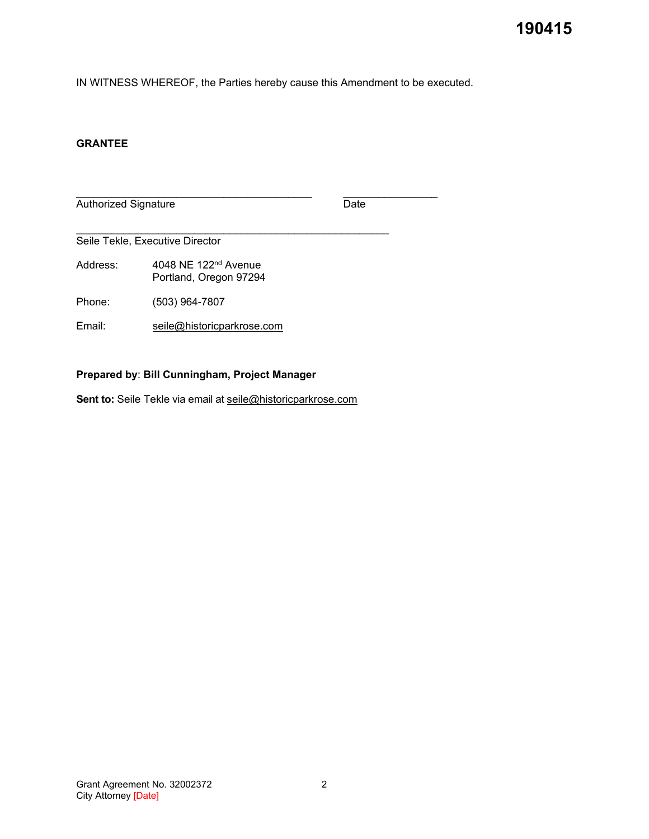IN WITNESS WHEREOF, the Parties hereby cause this Amendment to be executed.

#### **GRANTEE**

\_\_\_\_\_\_\_\_\_\_\_\_\_\_\_\_\_\_\_\_\_\_\_\_\_\_\_\_\_\_\_\_\_\_\_\_\_\_\_\_ \_\_\_\_\_\_\_\_\_\_\_\_\_\_\_\_ Authorized Signature Date

\_\_\_\_\_\_\_\_\_\_\_\_\_\_\_\_\_\_\_\_\_\_\_\_\_\_\_\_\_\_\_\_\_\_\_\_\_\_\_\_\_\_\_\_\_\_\_\_\_\_\_\_\_ Seile Tekle, Executive Director

Address: 4048 NE 122<sup>nd</sup> Avenue Portland, Oregon 97294

Phone: (503) 964-7807

Email: seile@historicparkrose.com

### **Prepared by**: **Bill Cunningham, Project Manager**

Sent to: Seile Tekle via email at [seile@historicparkrose.com](mailto:seile@historicparkrose.com)